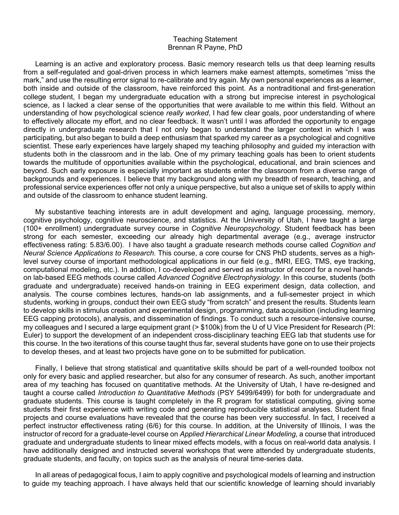## Teaching Statement Brennan R Payne, PhD

Learning is an active and exploratory process. Basic memory research tells us that deep learning results from a self-regulated and goal-driven process in which learners make earnest attempts, sometimes "miss the mark," and use the resulting error signal to re-calibrate and try again. My own personal experiences as a learner, both inside and outside of the classroom, have reinforced this point. As a nontraditional and first-generation college student, I began my undergraduate education with a strong but imprecise interest in psychological science, as I lacked a clear sense of the opportunities that were available to me within this field. Without an understanding of how psychological science *really worked*, I had few clear goals, poor understanding of where to effectively allocate my effort, and no clear feedback. It wasn't until I was afforded the opportunity to engage directly in undergraduate research that I not only began to understand the larger context in which I was participating, but also began to build a deep enthusiasm that sparked my career as a psychological and cognitive scientist. These early experiences have largely shaped my teaching philosophy and guided my interaction with students both in the classroom and in the lab. One of my primary teaching goals has been to orient students towards the multitude of opportunities available within the psychological, educational, and brain sciences and beyond. Such early exposure is especially important as students enter the classroom from a diverse range of backgrounds and experiences. I believe that my background along with my breadth of research, teaching, and professional service experiences offer not only a unique perspective, but also a unique set of skills to apply within and outside of the classroom to enhance student learning.

My substantive teaching interests are in adult development and aging, language processing, memory, cognitive psychology, cognitive neuroscience, and statistics. At the University of Utah, I have taught a large (100+ enrollment) undergraduate survey course in *Cognitive Neuropsychology*. Student feedback has been strong for each semester, exceeding our already high departmental average (e.g., average instructor effectiveness rating: 5.83/6.00). I have also taught a graduate research methods course called *Cognition and Neural Science Applications to Research.* This course, a core course for CNS PhD students, serves as a highlevel survey course of important methodological applications in our field (e.g., fMRI, EEG, TMS, eye tracking, computational modeling, etc.). In addition, I co-developed and served as instructor of record for a novel handson lab-based EEG methods course called *Advanced Cognitive Electrophysiology*. In this course, students (both graduate and undergraduate) received hands-on training in EEG experiment design, data collection, and analysis. The course combines lectures, hands-on lab assignments, and a full-semester project in which students, working in groups, conduct their own EEG study "from scratch" and present the results. Students learn to develop skills in stimulus creation and experimental design, programming, data acquisition (including learning EEG capping protocols), analysis, and dissemination of findings. To conduct such a resource-intensive course, my colleagues and I secured a large equipment grant (> \$100k) from the U of U Vice President for Research (PI: Euler) to support the development of an independent cross-disciplinary teaching EEG lab that students use for this course. In the two iterations of this course taught thus far, several students have gone on to use their projects to develop theses, and at least two projects have gone on to be submitted for publication.

Finally, I believe that strong statistical and quantitative skills should be part of a well-rounded toolbox not only for every basic and applied researcher, but also for any consumer of research. As such, another important area of my teaching has focused on quantitative methods. At the University of Utah, I have re-designed and taught a course called *Introduction to Quantitative Methods* (PSY 5499/6499) for both for undergraduate and graduate students. This course is taught completely in the R program for statistical computing, giving some students their first experience with writing code and generating reproducible statistical analyses. Student final projects and course evaluations have revealed that the course has been very successful. In fact, I received a perfect instructor effectiveness rating (6/6) for this course. In addition, at the University of Illinois, I was the instructor of record for a graduate-level course on *Applied Hierarchical Linear Modeling*, a course that introduced graduate and undergraduate students to linear mixed effects models, with a focus on real-world data analysis. I have additionally designed and instructed several workshops that were attended by undergraduate students, graduate students, and faculty, on topics such as the analysis of neural time-series data.

In all areas of pedagogical focus, I aim to apply cognitive and psychological models of learning and instruction to guide my teaching approach. I have always held that our scientific knowledge of learning should invariably